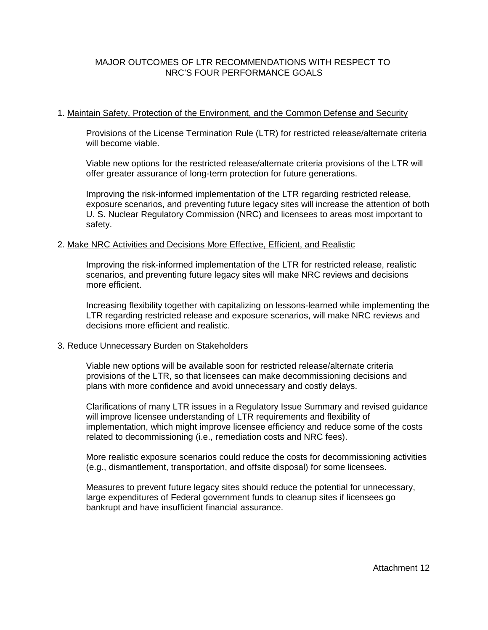# MAJOR OUTCOMES OF LTR RECOMMENDATIONS WITH RESPECT TO NRC'S FOUR PERFORMANCE GOALS

## 1. Maintain Safety, Protection of the Environment, and the Common Defense and Security

Provisions of the License Termination Rule (LTR) for restricted release/alternate criteria will become viable.

Viable new options for the restricted release/alternate criteria provisions of the LTR will offer greater assurance of long-term protection for future generations.

Improving the risk-informed implementation of the LTR regarding restricted release, exposure scenarios, and preventing future legacy sites will increase the attention of both U. S. Nuclear Regulatory Commission (NRC) and licensees to areas most important to safety.

## 2. Make NRC Activities and Decisions More Effective, Efficient, and Realistic

Improving the risk-informed implementation of the LTR for restricted release, realistic scenarios, and preventing future legacy sites will make NRC reviews and decisions more efficient.

Increasing flexibility together with capitalizing on lessons-learned while implementing the LTR regarding restricted release and exposure scenarios, will make NRC reviews and decisions more efficient and realistic.

#### 3. Reduce Unnecessary Burden on Stakeholders

Viable new options will be available soon for restricted release/alternate criteria provisions of the LTR, so that licensees can make decommissioning decisions and plans with more confidence and avoid unnecessary and costly delays.

Clarifications of many LTR issues in a Regulatory Issue Summary and revised guidance will improve licensee understanding of LTR requirements and flexibility of implementation, which might improve licensee efficiency and reduce some of the costs related to decommissioning (i.e., remediation costs and NRC fees).

More realistic exposure scenarios could reduce the costs for decommissioning activities (e.g., dismantlement, transportation, and offsite disposal) for some licensees.

Measures to prevent future legacy sites should reduce the potential for unnecessary, large expenditures of Federal government funds to cleanup sites if licensees go bankrupt and have insufficient financial assurance.